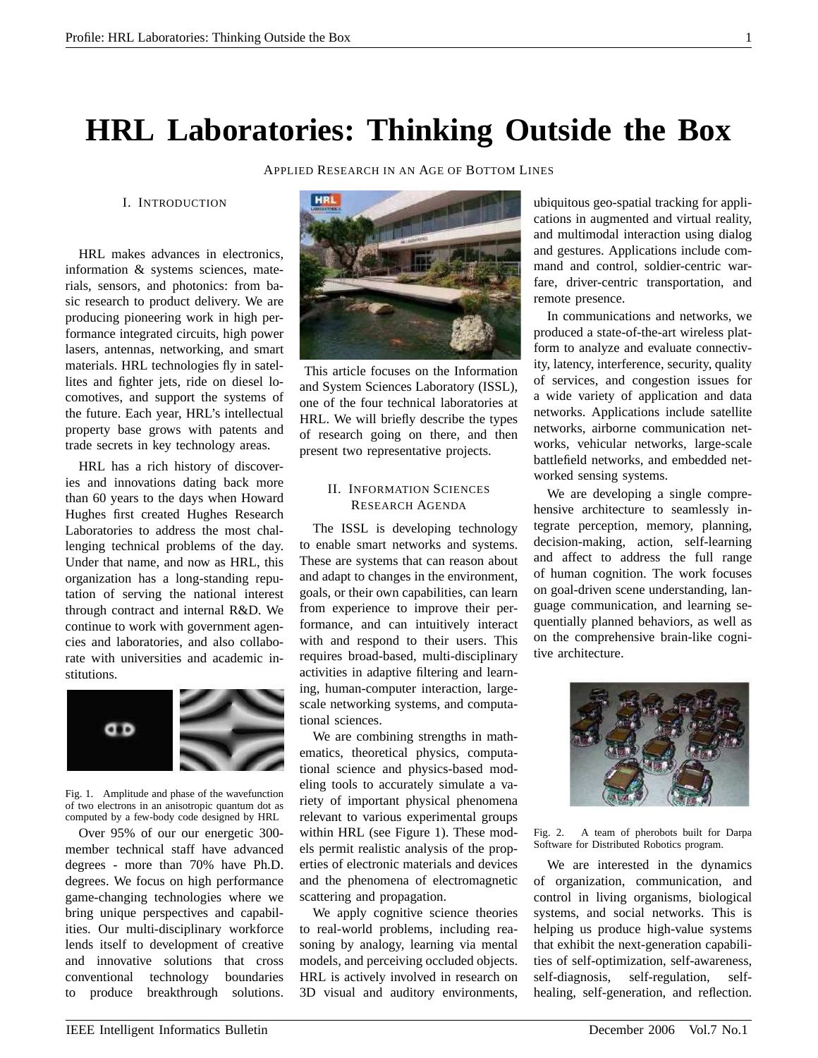## **HRL Laboratories: Thinking Outside the Box**

APPLIED RESEARCH IN AN AGE OF BOTTOM LINES

I. INTRODUCTION

HRL makes advances in electronics, information & systems sciences, materials, sensors, and photonics: from basic research to product delivery. We are producing pioneering work in high performance integrated circuits, high power lasers, antennas, networking, and smart materials. HRL technologies fly in satellites and fighter jets, ride on diesel locomotives, and support the systems of the future. Each year, HRL's intellectual property base grows with patents and trade secrets in key technology areas.

HRL has a rich history of discoveries and innovations dating back more than 60 years to the days when Howard Hughes first created Hughes Research Laboratories to address the most challenging technical problems of the day. Under that name, and now as HRL, this organization has a long-standing reputation of serving the national interest through contract and internal R&D. We continue to work with government agencies and laboratories, and also collaborate with universities and academic institutions.



Fig. 1. Amplitude and phase of the wavefunction of two electrons in an anisotropic quantum dot as computed by a few-body code designed by HRL

Over 95% of our our energetic 300 member technical staff have advanced degrees - more than 70% have Ph.D. degrees. We focus on high performance game-changing technologies where we bring unique perspectives and capabilities. Our multi-disciplinary workforce lends itself to development of creative and innovative solutions that cross conventional technology boundaries to produce breakthrough solutions.



This article focuses on the Information and System Sciences Laboratory (ISSL), one of the four technical laboratories at HRL. We will briefly describe the types of research going on there, and then present two representative projects.

## II. INFORMATION SCIENCES RESEARCH AGENDA

The ISSL is developing technology to enable smart networks and systems. These are systems that can reason about and adapt to changes in the environment, goals, or their own capabilities, can learn from experience to improve their performance, and can intuitively interact with and respond to their users. This requires broad-based, multi-disciplinary activities in adaptive filtering and learning, human-computer interaction, largescale networking systems, and computational sciences.

We are combining strengths in mathematics, theoretical physics, computational science and physics-based modeling tools to accurately simulate a variety of important physical phenomena relevant to various experimental groups within HRL (see Figure 1). These models permit realistic analysis of the properties of electronic materials and devices and the phenomena of electromagnetic scattering and propagation.

We apply cognitive science theories to real-world problems, including reasoning by analogy, learning via mental models, and perceiving occluded objects. HRL is actively involved in research on 3D visual and auditory environments,

ubiquitous geo-spatial tracking for applications in augmented and virtual reality, and multimodal interaction using dialog and gestures. Applications include command and control, soldier-centric warfare, driver-centric transportation, and remote presence.

In communications and networks, we produced a state-of-the-art wireless platform to analyze and evaluate connectivity, latency, interference, security, quality of services, and congestion issues for a wide variety of application and data networks. Applications include satellite networks, airborne communication networks, vehicular networks, large-scale battlefield networks, and embedded networked sensing systems.

We are developing a single comprehensive architecture to seamlessly integrate perception, memory, planning, decision-making, action, self-learning and affect to address the full range of human cognition. The work focuses on goal-driven scene understanding, language communication, and learning sequentially planned behaviors, as well as on the comprehensive brain-like cognitive architecture.



Fig. 2. A team of pherobots built for Darpa Software for Distributed Robotics program.

We are interested in the dynamics of organization, communication, and control in living organisms, biological systems, and social networks. This is helping us produce high-value systems that exhibit the next-generation capabilities of self-optimization, self-awareness, self-diagnosis, self-regulation, selfhealing, self-generation, and reflection.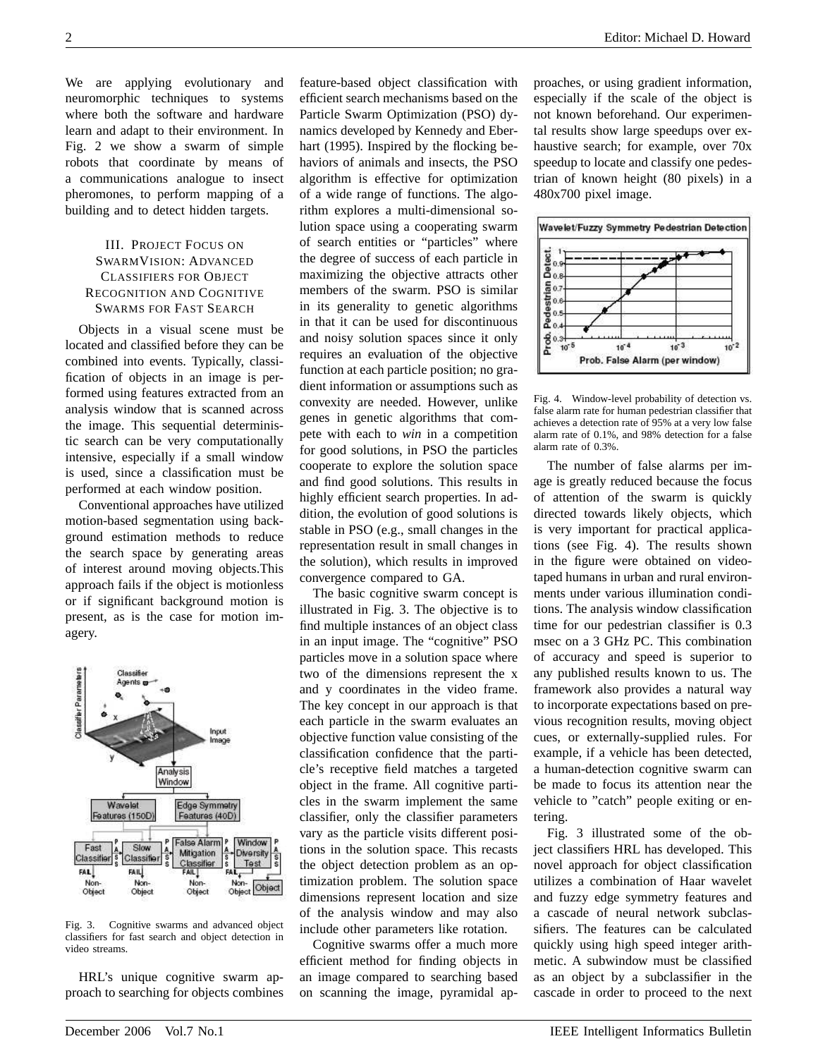We are applying evolutionary and neuromorphic techniques to systems where both the software and hardware learn and adapt to their environment. In Fig. 2 we show a swarm of simple robots that coordinate by means of a communications analogue to insect pheromones, to perform mapping of a building and to detect hidden targets.

## III. PROJECT FOCUS ON SWARMVISION: ADVANCED CLASSIFIERS FOR OBJECT RECOGNITION AND COGNITIVE SWARMS FOR FAST SEARCH

Objects in a visual scene must be located and classified before they can be combined into events. Typically, classification of objects in an image is performed using features extracted from an analysis window that is scanned across the image. This sequential deterministic search can be very computationally intensive, especially if a small window is used, since a classification must be performed at each window position.

Conventional approaches have utilized motion-based segmentation using background estimation methods to reduce the search space by generating areas of interest around moving objects.This approach fails if the object is motionless or if significant background motion is present, as is the case for motion imagery.



Fig. 3. Cognitive swarms and advanced object classifiers for fast search and object detection in video streams.

HRL's unique cognitive swarm approach to searching for objects combines feature-based object classification with efficient search mechanisms based on the Particle Swarm Optimization (PSO) dynamics developed by Kennedy and Eberhart (1995). Inspired by the flocking behaviors of animals and insects, the PSO algorithm is effective for optimization of a wide range of functions. The algorithm explores a multi-dimensional solution space using a cooperating swarm of search entities or "particles" where the degree of success of each particle in maximizing the objective attracts other members of the swarm. PSO is similar in its generality to genetic algorithms in that it can be used for discontinuous and noisy solution spaces since it only requires an evaluation of the objective function at each particle position; no gradient information or assumptions such as convexity are needed. However, unlike genes in genetic algorithms that compete with each to *win* in a competition for good solutions, in PSO the particles cooperate to explore the solution space and find good solutions. This results in highly efficient search properties. In addition, the evolution of good solutions is stable in PSO (e.g., small changes in the representation result in small changes in the solution), which results in improved convergence compared to GA.

The basic cognitive swarm concept is illustrated in Fig. 3. The objective is to find multiple instances of an object class in an input image. The "cognitive" PSO particles move in a solution space where two of the dimensions represent the x and y coordinates in the video frame. The key concept in our approach is that each particle in the swarm evaluates an objective function value consisting of the classification confidence that the particle's receptive field matches a targeted object in the frame. All cognitive particles in the swarm implement the same classifier, only the classifier parameters vary as the particle visits different positions in the solution space. This recasts the object detection problem as an optimization problem. The solution space dimensions represent location and size of the analysis window and may also include other parameters like rotation.

Cognitive swarms offer a much more efficient method for finding objects in an image compared to searching based on scanning the image, pyramidal approaches, or using gradient information, especially if the scale of the object is not known beforehand. Our experimental results show large speedups over exhaustive search; for example, over 70x speedup to locate and classify one pedestrian of known height (80 pixels) in a 480x700 pixel image.



Fig. 4. Window-level probability of detection vs. false alarm rate for human pedestrian classifier that achieves a detection rate of 95% at a very low false alarm rate of 0.1%, and 98% detection for a false alarm rate of 0.3%.

The number of false alarms per image is greatly reduced because the focus of attention of the swarm is quickly directed towards likely objects, which is very important for practical applications (see Fig. 4). The results shown in the figure were obtained on videotaped humans in urban and rural environments under various illumination conditions. The analysis window classification time for our pedestrian classifier is 0.3 msec on a 3 GHz PC. This combination of accuracy and speed is superior to any published results known to us. The framework also provides a natural way to incorporate expectations based on previous recognition results, moving object cues, or externally-supplied rules. For example, if a vehicle has been detected, a human-detection cognitive swarm can be made to focus its attention near the vehicle to "catch" people exiting or entering.

Fig. 3 illustrated some of the object classifiers HRL has developed. This novel approach for object classification utilizes a combination of Haar wavelet and fuzzy edge symmetry features and a cascade of neural network subclassifiers. The features can be calculated quickly using high speed integer arithmetic. A subwindow must be classified as an object by a subclassifier in the cascade in order to proceed to the next